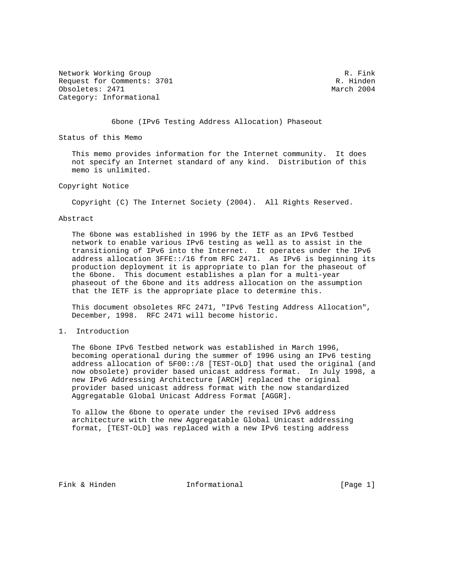Network Working Group and the set of the set of the set of the set of the set of the set of the set of the set of the set of the set of the set of the set of the set of the set of the set of the set of the set of the set o Request for Comments: 3701 R. Hinden<br>  $\alpha$  R. Hinden<br>  $\alpha$  Rarch 2004 Obsoletes: 2471 Category: Informational

6bone (IPv6 Testing Address Allocation) Phaseout

Status of this Memo

 This memo provides information for the Internet community. It does not specify an Internet standard of any kind. Distribution of this memo is unlimited.

Copyright Notice

Copyright (C) The Internet Society (2004). All Rights Reserved.

## Abstract

 The 6bone was established in 1996 by the IETF as an IPv6 Testbed network to enable various IPv6 testing as well as to assist in the transitioning of IPv6 into the Internet. It operates under the IPv6 address allocation 3FFE::/16 from RFC 2471. As IPv6 is beginning its production deployment it is appropriate to plan for the phaseout of the 6bone. This document establishes a plan for a multi-year phaseout of the 6bone and its address allocation on the assumption that the IETF is the appropriate place to determine this.

 This document obsoletes RFC 2471, "IPv6 Testing Address Allocation", December, 1998. RFC 2471 will become historic.

1. Introduction

 The 6bone IPv6 Testbed network was established in March 1996, becoming operational during the summer of 1996 using an IPv6 testing address allocation of 5F00::/8 [TEST-OLD] that used the original (and now obsolete) provider based unicast address format. In July 1998, a new IPv6 Addressing Architecture [ARCH] replaced the original provider based unicast address format with the now standardized Aggregatable Global Unicast Address Format [AGGR].

 To allow the 6bone to operate under the revised IPv6 address architecture with the new Aggregatable Global Unicast addressing format, [TEST-OLD] was replaced with a new IPv6 testing address

Fink & Hinden **Informational** [Page 1]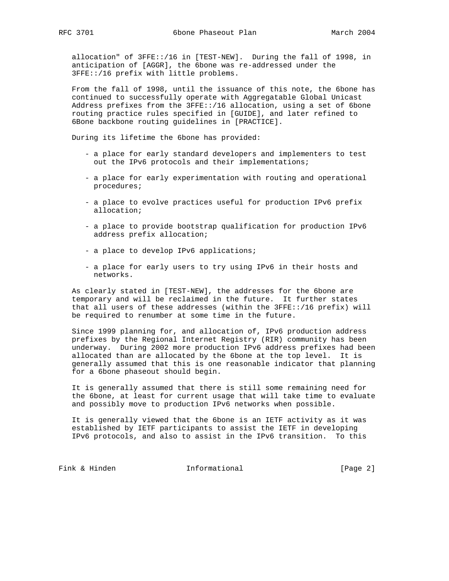allocation" of 3FFE::/16 in [TEST-NEW]. During the fall of 1998, in anticipation of [AGGR], the 6bone was re-addressed under the 3FFE::/16 prefix with little problems.

 From the fall of 1998, until the issuance of this note, the 6bone has continued to successfully operate with Aggregatable Global Unicast Address prefixes from the 3FFE::/16 allocation, using a set of 6bone routing practice rules specified in [GUIDE], and later refined to 6Bone backbone routing guidelines in [PRACTICE].

During its lifetime the 6bone has provided:

- a place for early standard developers and implementers to test out the IPv6 protocols and their implementations;
- a place for early experimentation with routing and operational procedures;
- a place to evolve practices useful for production IPv6 prefix allocation;
- a place to provide bootstrap qualification for production IPv6 address prefix allocation;
- a place to develop IPv6 applications;
- a place for early users to try using IPv6 in their hosts and networks.

 As clearly stated in [TEST-NEW], the addresses for the 6bone are temporary and will be reclaimed in the future. It further states that all users of these addresses (within the 3FFE::/16 prefix) will be required to renumber at some time in the future.

 Since 1999 planning for, and allocation of, IPv6 production address prefixes by the Regional Internet Registry (RIR) community has been underway. During 2002 more production IPv6 address prefixes had been allocated than are allocated by the 6bone at the top level. It is generally assumed that this is one reasonable indicator that planning for a 6bone phaseout should begin.

 It is generally assumed that there is still some remaining need for the 6bone, at least for current usage that will take time to evaluate and possibly move to production IPv6 networks when possible.

 It is generally viewed that the 6bone is an IETF activity as it was established by IETF participants to assist the IETF in developing IPv6 protocols, and also to assist in the IPv6 transition. To this

Fink & Hinden **Informational** [Page 2]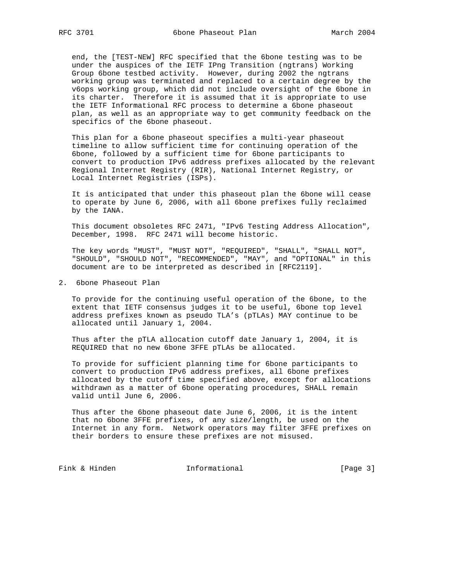end, the [TEST-NEW] RFC specified that the 6bone testing was to be under the auspices of the IETF IPng Transition (ngtrans) Working Group 6bone testbed activity. However, during 2002 the ngtrans working group was terminated and replaced to a certain degree by the v6ops working group, which did not include oversight of the 6bone in its charter. Therefore it is assumed that it is appropriate to use the IETF Informational RFC process to determine a 6bone phaseout plan, as well as an appropriate way to get community feedback on the specifics of the 6bone phaseout.

 This plan for a 6bone phaseout specifies a multi-year phaseout timeline to allow sufficient time for continuing operation of the 6bone, followed by a sufficient time for 6bone participants to convert to production IPv6 address prefixes allocated by the relevant Regional Internet Registry (RIR), National Internet Registry, or Local Internet Registries (ISPs).

 It is anticipated that under this phaseout plan the 6bone will cease to operate by June 6, 2006, with all 6bone prefixes fully reclaimed by the IANA.

 This document obsoletes RFC 2471, "IPv6 Testing Address Allocation", December, 1998. RFC 2471 will become historic.

 The key words "MUST", "MUST NOT", "REQUIRED", "SHALL", "SHALL NOT", "SHOULD", "SHOULD NOT", "RECOMMENDED", "MAY", and "OPTIONAL" in this document are to be interpreted as described in [RFC2119].

2. 6bone Phaseout Plan

 To provide for the continuing useful operation of the 6bone, to the extent that IETF consensus judges it to be useful, 6bone top level address prefixes known as pseudo TLA's (pTLAs) MAY continue to be allocated until January 1, 2004.

 Thus after the pTLA allocation cutoff date January 1, 2004, it is REQUIRED that no new 6bone 3FFE pTLAs be allocated.

 To provide for sufficient planning time for 6bone participants to convert to production IPv6 address prefixes, all 6bone prefixes allocated by the cutoff time specified above, except for allocations withdrawn as a matter of 6bone operating procedures, SHALL remain valid until June 6, 2006.

 Thus after the 6bone phaseout date June 6, 2006, it is the intent that no 6bone 3FFE prefixes, of any size/length, be used on the Internet in any form. Network operators may filter 3FFE prefixes on their borders to ensure these prefixes are not misused.

Fink & Hinden **Informational** [Page 3]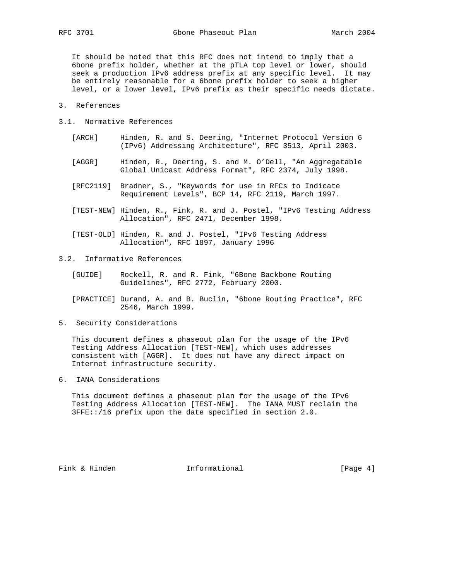It should be noted that this RFC does not intend to imply that a 6bone prefix holder, whether at the pTLA top level or lower, should seek a production IPv6 address prefix at any specific level. It may be entirely reasonable for a 6bone prefix holder to seek a higher level, or a lower level, IPv6 prefix as their specific needs dictate.

- 3. References
- 3.1. Normative References
	- [ARCH] Hinden, R. and S. Deering, "Internet Protocol Version 6 (IPv6) Addressing Architecture", RFC 3513, April 2003.
	- [AGGR] Hinden, R., Deering, S. and M. O'Dell, "An Aggregatable Global Unicast Address Format", RFC 2374, July 1998.
	- [RFC2119] Bradner, S., "Keywords for use in RFCs to Indicate Requirement Levels", BCP 14, RFC 2119, March 1997.
	- [TEST-NEW] Hinden, R., Fink, R. and J. Postel, "IPv6 Testing Address Allocation", RFC 2471, December 1998.
	- [TEST-OLD] Hinden, R. and J. Postel, "IPv6 Testing Address Allocation", RFC 1897, January 1996
- 3.2. Informative References
	- [GUIDE] Rockell, R. and R. Fink, "6Bone Backbone Routing Guidelines", RFC 2772, February 2000.

 [PRACTICE] Durand, A. and B. Buclin, "6bone Routing Practice", RFC 2546, March 1999.

5. Security Considerations

 This document defines a phaseout plan for the usage of the IPv6 Testing Address Allocation [TEST-NEW], which uses addresses consistent with [AGGR]. It does not have any direct impact on Internet infrastructure security.

6. IANA Considerations

 This document defines a phaseout plan for the usage of the IPv6 Testing Address Allocation [TEST-NEW]. The IANA MUST reclaim the 3FFE::/16 prefix upon the date specified in section 2.0.

Fink & Hinden **Informational** [Page 4]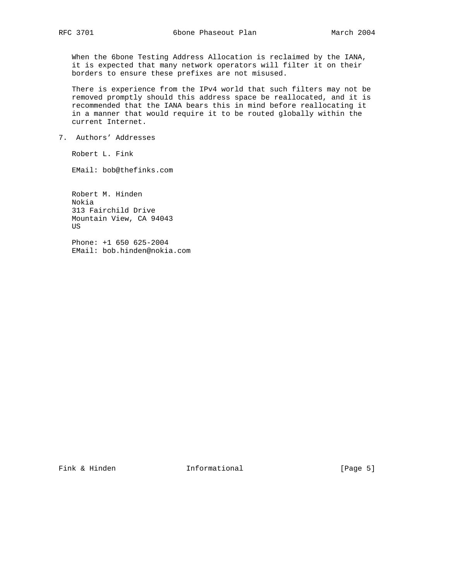When the 6bone Testing Address Allocation is reclaimed by the IANA, it is expected that many network operators will filter it on their borders to ensure these prefixes are not misused.

 There is experience from the IPv4 world that such filters may not be removed promptly should this address space be reallocated, and it is recommended that the IANA bears this in mind before reallocating it in a manner that would require it to be routed globally within the current Internet.

7. Authors' Addresses

Robert L. Fink

EMail: bob@thefinks.com

 Robert M. Hinden Nokia 313 Fairchild Drive Mountain View, CA 94043 US

 Phone: +1 650 625-2004 EMail: bob.hinden@nokia.com

Fink & Hinden **Informational** [Page 5]